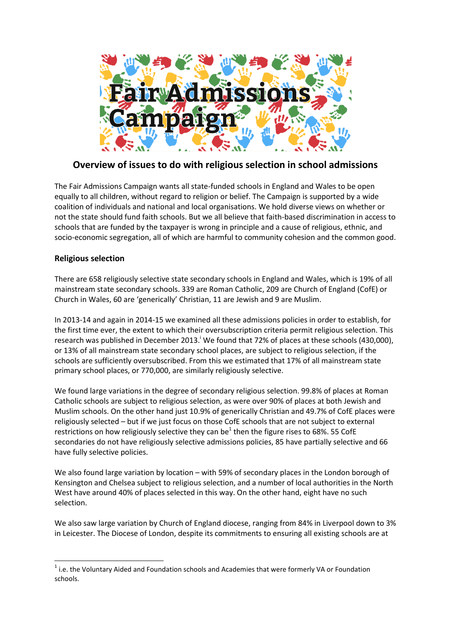

# **Overview of issues to do with religious selection in school admissions**

The Fair Admissions Campaign wants all state-funded schools in England and Wales to be open equally to all children, without regard to religion or belief. The Campaign is supported by a wide coalition of individuals and national and local organisations. We hold diverse views on whether or not the state should fund faith schools. But we all believe that faith-based discrimination in access to schools that are funded by the taxpayer is wrong in principle and a cause of religious, ethnic, and socio-economic segregation, all of which are harmful to community cohesion and the common good.

## **Religious selection**

**.** 

There are 658 religiously selective state secondary schools in England and Wales, which is 19% of all mainstream state secondary schools. 339 are Roman Catholic, 209 are Church of England (CofE) or Church in Wales, 60 are 'generically' Christian, 11 are Jewish and 9 are Muslim.

In 2013-14 and again in 2014-15 we examined all these admissions policies in order to establish, for the first time ever, the extent to which their oversubscription criteria permit religious selection. This research was published in December 2013.<sup>1</sup> We found that 72% of places at these schools (430,000), or 13% of all mainstream state secondary school places, are subject to religious selection, if the schools are sufficiently oversubscribed. From this we estimated that 17% of all mainstream state primary school places, or 770,000, are similarly religiously selective.

We found large variations in the degree of secondary religious selection. 99.8% of places at Roman Catholic schools are subject to religious selection, as were over 90% of places at both Jewish and Muslim schools. On the other hand just 10.9% of generically Christian and 49.7% of CofE places were religiously selected – but if we just focus on those CofE schools that are not subject to external restrictions on how religiously selective they can be<sup>1</sup> then the figure rises to 68%. 55 CofE secondaries do not have religiously selective admissions policies, 85 have partially selective and 66 have fully selective policies.

We also found large variation by location – with 59% of secondary places in the London borough of Kensington and Chelsea subject to religious selection, and a number of local authorities in the North West have around 40% of places selected in this way. On the other hand, eight have no such selection.

We also saw large variation by Church of England diocese, ranging from 84% in Liverpool down to 3% in Leicester. The Diocese of London, despite its commitments to ensuring all existing schools are at

 $1$  i.e. the Voluntary Aided and Foundation schools and Academies that were formerly VA or Foundation schools.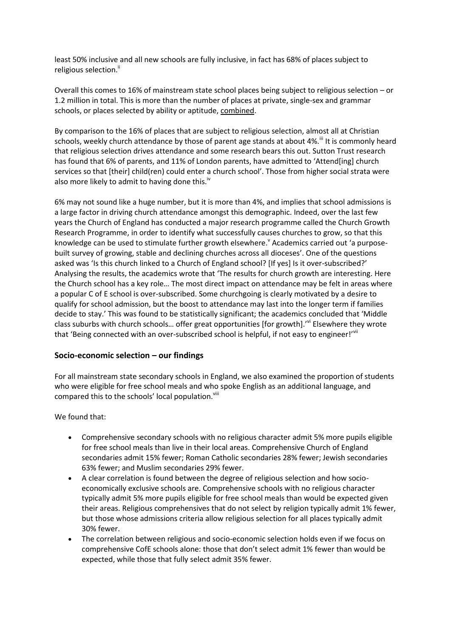least 50% inclusive and all new schools are fully inclusive, in fact has 68% of places subject to religious selection.<sup>"</sup>

Overall this comes to 16% of mainstream state school places being subject to religious selection – or 1.2 million in total. This is more than the number of places at private, single-sex and grammar schools, or places selected by ability or aptitude, combined.

By comparison to the 16% of places that are subject to religious selection, almost all at Christian schools, weekly church attendance by those of parent age stands at about 4%.<sup>iii</sup> It is commonly heard that religious selection drives attendance and some research bears this out. Sutton Trust research has found that 6% of parents, and 11% of London parents, have admitted to 'Attend[ing] church services so that [their] child(ren) could enter a church school'. Those from higher social strata were also more likely to admit to having done this.<sup>iv</sup>

6% may not sound like a huge number, but it is more than 4%, and implies that school admissions is a large factor in driving church attendance amongst this demographic. Indeed, over the last few years the Church of England has conducted a major research programme called the Church Growth Research Programme, in order to identify what successfully causes churches to grow, so that this knowledge can be used to stimulate further growth elsewhere. Academics carried out 'a purposebuilt survey of growing, stable and declining churches across all dioceses'. One of the questions asked was 'Is this church linked to a Church of England school? [If yes] Is it over-subscribed?' Analysing the results, the academics wrote that 'The results for church growth are interesting. Here the Church school has a key role… The most direct impact on attendance may be felt in areas where a popular C of E school is over-subscribed. Some churchgoing is clearly motivated by a desire to qualify for school admission, but the boost to attendance may last into the longer term if families decide to stay.' This was found to be statistically significant; the academics concluded that 'Middle class suburbs with church schools… offer great opportunities [for growth].'vi Elsewhere they wrote that 'Being connected with an over-subscribed school is helpful, if not easy to engineer!'<sup>''"</sup>

#### **Socio-economic selection – our findings**

For all mainstream state secondary schools in England, we also examined the proportion of students who were eligible for free school meals and who spoke English as an additional language, and compared this to the schools' local population. Vili

We found that:

- Comprehensive secondary schools with no religious character admit 5% more pupils eligible for free school meals than live in their local areas. Comprehensive Church of England secondaries admit 15% fewer; Roman Catholic secondaries 28% fewer; Jewish secondaries 63% fewer; and Muslim secondaries 29% fewer.
- A clear correlation is found between the degree of religious selection and how socioeconomically exclusive schools are. Comprehensive schools with no religious character typically admit 5% more pupils eligible for free school meals than would be expected given their areas. Religious comprehensives that do not select by religion typically admit 1% fewer, but those whose admissions criteria allow religious selection for all places typically admit 30% fewer.
- The correlation between religious and socio-economic selection holds even if we focus on comprehensive CofE schools alone: those that don't select admit 1% fewer than would be expected, while those that fully select admit 35% fewer.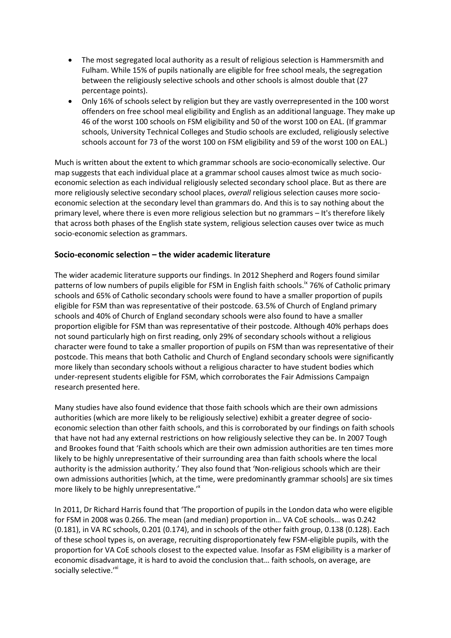- The most segregated local authority as a result of religious selection is Hammersmith and Fulham. While 15% of pupils nationally are eligible for free school meals, the segregation between the religiously selective schools and other schools is almost double that (27 percentage points).
- Only 16% of schools select by religion but they are vastly overrepresented in the 100 worst offenders on free school meal eligibility and English as an additional language. They make up 46 of the worst 100 schools on FSM eligibility and 50 of the worst 100 on EAL. (If grammar schools, University Technical Colleges and Studio schools are excluded, religiously selective schools account for 73 of the worst 100 on FSM eligibility and 59 of the worst 100 on EAL.)

Much is written about the extent to which grammar schools are socio-economically selective. Our map suggests that each individual place at a grammar school causes almost twice as much socioeconomic selection as each individual religiously selected secondary school place. But as there are more religiously selective secondary school places, *overall* religious selection causes more socioeconomic selection at the secondary level than grammars do. And this is to say nothing about the primary level, where there is even more religious selection but no grammars – It's therefore likely that across both phases of the English state system, religious selection causes over twice as much socio-economic selection as grammars.

## **Socio-economic selection – the wider academic literature**

The wider academic literature supports our findings. In 2012 Shepherd and Rogers found similar patterns of low numbers of pupils eligible for FSM in English faith schools.<sup>ix</sup> 76% of Catholic primary schools and 65% of Catholic secondary schools were found to have a smaller proportion of pupils eligible for FSM than was representative of their postcode. 63.5% of Church of England primary schools and 40% of Church of England secondary schools were also found to have a smaller proportion eligible for FSM than was representative of their postcode. Although 40% perhaps does not sound particularly high on first reading, only 29% of secondary schools without a religious character were found to take a smaller proportion of pupils on FSM than was representative of their postcode. This means that both Catholic and Church of England secondary schools were significantly more likely than secondary schools without a religious character to have student bodies which under-represent students eligible for FSM, which corroborates the Fair Admissions Campaign research presented here.

Many studies have also found evidence that those faith schools which are their own admissions authorities (which are more likely to be religiously selective) exhibit a greater degree of socioeconomic selection than other faith schools, and this is corroborated by our findings on faith schools that have not had any external restrictions on how religiously selective they can be. In 2007 Tough and Brookes found that 'Faith schools which are their own admission authorities are ten times more likely to be highly unrepresentative of their surrounding area than faith schools where the local authority is the admission authority.' They also found that 'Non-religious schools which are their own admissions authorities [which, at the time, were predominantly grammar schools] are six times more likely to be highly unrepresentative.<sup>"</sup>

In 2011, Dr Richard Harris found that 'The proportion of pupils in the London data who were eligible for FSM in 2008 was 0.266. The mean (and median) proportion in… VA CoE schools… was 0.242 (0.181), in VA RC schools, 0.201 (0.174), and in schools of the other faith group, 0.138 (0.128). Each of these school types is, on average, recruiting disproportionately few FSM-eligible pupils, with the proportion for VA CoE schools closest to the expected value. Insofar as FSM eligibility is a marker of economic disadvantage, it is hard to avoid the conclusion that… faith schools, on average, are socially selective.'<sup>xi</sup>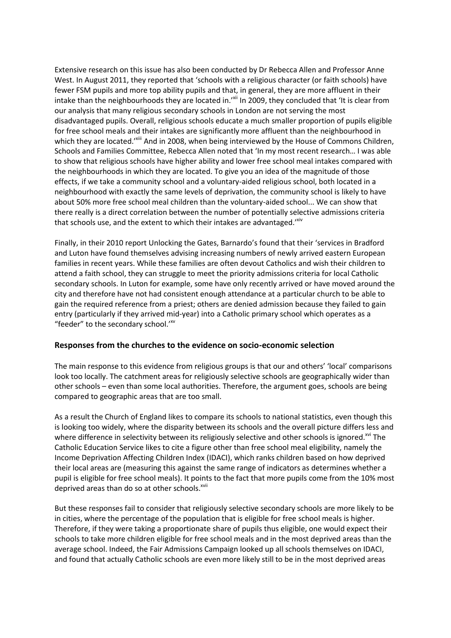Extensive research on this issue has also been conducted by Dr Rebecca Allen and Professor Anne West. In August 2011, they reported that 'schools with a religious character (or faith schools) have fewer FSM pupils and more top ability pupils and that, in general, they are more affluent in their intake than the neighbourhoods they are located in.'<sup>xii</sup> In 2009, they concluded that 'It is clear from our analysis that many religious secondary schools in London are not serving the most disadvantaged pupils. Overall, religious schools educate a much smaller proportion of pupils eligible for free school meals and their intakes are significantly more affluent than the neighbourhood in which they are located.'<sup>Xiii</sup> And in 2008, when being interviewed by the House of Commons Children, Schools and Families Committee, Rebecca Allen noted that 'In my most recent research… I was able to show that religious schools have higher ability and lower free school meal intakes compared with the neighbourhoods in which they are located. To give you an idea of the magnitude of those effects, if we take a community school and a voluntary-aided religious school, both located in a neighbourhood with exactly the same levels of deprivation, the community school is likely to have about 50% more free school meal children than the voluntary-aided school... We can show that there really is a direct correlation between the number of potentially selective admissions criteria that schools use, and the extent to which their intakes are advantaged."

Finally, in their 2010 report Unlocking the Gates, Barnardo's found that their 'services in Bradford and Luton have found themselves advising increasing numbers of newly arrived eastern European families in recent years. While these families are often devout Catholics and wish their children to attend a faith school, they can struggle to meet the priority admissions criteria for local Catholic secondary schools. In Luton for example, some have only recently arrived or have moved around the city and therefore have not had consistent enough attendance at a particular church to be able to gain the required reference from a priest; others are denied admission because they failed to gain entry (particularly if they arrived mid-year) into a Catholic primary school which operates as a "feeder" to the secondary school.'<sup>xv</sup>

#### **Responses from the churches to the evidence on socio-economic selection**

The main response to this evidence from religious groups is that our and others' 'local' comparisons look too locally. The catchment areas for religiously selective schools are geographically wider than other schools – even than some local authorities. Therefore, the argument goes, schools are being compared to geographic areas that are too small.

As a result the Church of England likes to compare its schools to national statistics, even though this is looking too widely, where the disparity between its schools and the overall picture differs less and where difference in selectivity between its religiously selective and other schools is ignored.<sup>xv</sup> The Catholic Education Service likes to cite a figure other than free school meal eligibility, namely the Income Deprivation Affecting Children Index (IDACI), which ranks children based on how deprived their local areas are (measuring this against the same range of indicators as determines whether a pupil is eligible for free school meals). It points to the fact that more pupils come from the 10% most deprived areas than do so at other schools.<sup>xvii</sup>

But these responses fail to consider that religiously selective secondary schools are more likely to be in cities, where the percentage of the population that is eligible for free school meals is higher. Therefore, if they were taking a proportionate share of pupils thus eligible, one would expect their schools to take more children eligible for free school meals and in the most deprived areas than the average school. Indeed, the Fair Admissions Campaign looked up all schools themselves on IDACI, and found that actually Catholic schools are even more likely still to be in the most deprived areas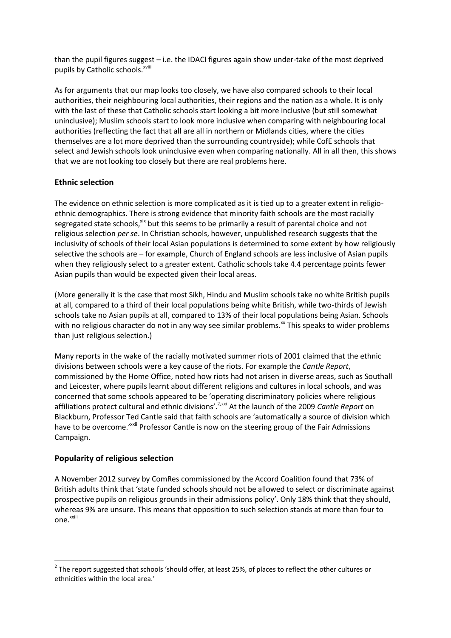than the pupil figures suggest – i.e. the IDACI figures again show under-take of the most deprived pupils by Catholic schools.<sup>xviii</sup>

As for arguments that our map looks too closely, we have also compared schools to their local authorities, their neighbouring local authorities, their regions and the nation as a whole. It is only with the last of these that Catholic schools start looking a bit more inclusive (but still somewhat uninclusive); Muslim schools start to look more inclusive when comparing with neighbouring local authorities (reflecting the fact that all are all in northern or Midlands cities, where the cities themselves are a lot more deprived than the surrounding countryside); while CofE schools that select and Jewish schools look uninclusive even when comparing nationally. All in all then, this shows that we are not looking too closely but there are real problems here.

## **Ethnic selection**

The evidence on ethnic selection is more complicated as it is tied up to a greater extent in religioethnic demographics. There is strong evidence that minority faith schools are the most racially segregated state schools,<sup>xix</sup> but this seems to be primarily a result of parental choice and not religious selection *per se*. In Christian schools, however, unpublished research suggests that the inclusivity of schools of their local Asian populations is determined to some extent by how religiously selective the schools are – for example, Church of England schools are less inclusive of Asian pupils when they religiously select to a greater extent. Catholic schools take 4.4 percentage points fewer Asian pupils than would be expected given their local areas.

(More generally it is the case that most Sikh, Hindu and Muslim schools take no white British pupils at all, compared to a third of their local populations being white British, while two-thirds of Jewish schools take no Asian pupils at all, compared to 13% of their local populations being Asian. Schools with no religious character do not in any way see similar problems. $\frac{x}{x}$  This speaks to wider problems than just religious selection.)

Many reports in the wake of the racially motivated summer riots of 2001 claimed that the ethnic divisions between schools were a key cause of the riots. For example the *Cantle Report*, commissioned by the Home Office, noted how riots had not arisen in diverse areas, such as Southall and Leicester, where pupils learnt about different religions and cultures in local schools, and was concerned that some schools appeared to be 'operating discriminatory policies where religious affiliations protect cultural and ethnic divisions'.2,xxi At the launch of the 2009 *Cantle Report* on Blackburn, Professor Ted Cantle said that faith schools are 'automatically a source of division which have to be overcome.'<sup>xxii</sup> Professor Cantle is now on the steering group of the Fair Admissions Campaign.

#### **Popularity of religious selection**

**.** 

A November 2012 survey by ComRes commissioned by the Accord Coalition found that 73% of British adults think that 'state funded schools should not be allowed to select or discriminate against prospective pupils on religious grounds in their admissions policy'. Only 18% think that they should, whereas 9% are unsure. This means that opposition to such selection stands at more than four to one.<sup>xxiii</sup>

 $2$  The report suggested that schools 'should offer, at least 25%, of places to reflect the other cultures or ethnicities within the local area.'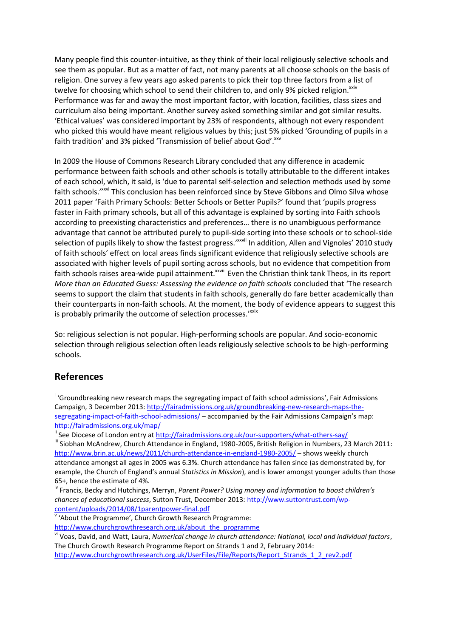Many people find this counter-intuitive, as they think of their local religiously selective schools and see them as popular. But as a matter of fact, not many parents at all choose schools on the basis of religion. One survey a few years ago asked parents to pick their top three factors from a list of twelve for choosing which school to send their children to, and only 9% picked religion.<sup>xxiv</sup> Performance was far and away the most important factor, with location, facilities, class sizes and curriculum also being important. Another survey asked something similar and got similar results. 'Ethical values' was considered important by 23% of respondents, although not every respondent who picked this would have meant religious values by this; just 5% picked 'Grounding of pupils in a faith tradition' and 3% picked 'Transmission of belief about God'. XXV

In 2009 the House of Commons Research Library concluded that any difference in academic performance between faith schools and other schools is totally attributable to the different intakes of each school, which, it said, is 'due to parental self-selection and selection methods used by some faith schools.'xxvi This conclusion has been reinforced since by Steve Gibbons and Olmo Silva whose 2011 paper 'Faith Primary Schools: Better Schools or Better Pupils?' found that 'pupils progress faster in Faith primary schools, but all of this advantage is explained by sorting into Faith schools according to preexisting characteristics and preferences… there is no unambiguous performance advantage that cannot be attributed purely to pupil-side sorting into these schools or to school-side selection of pupils likely to show the fastest progress.'<sup>\*\*\*/i</sup> In addition, Allen and Vignoles' 2010 study of faith schools' effect on local areas finds significant evidence that religiously selective schools are associated with higher levels of pupil sorting across schools, but no evidence that competition from faith schools raises area-wide pupil attainment.<sup>xxviii</sup> Even the Christian think tank Theos, in its report *More than an Educated Guess: Assessing the evidence on faith schools* concluded that 'The research seems to support the claim that students in faith schools, generally do fare better academically than their counterparts in non-faith schools. At the moment, the body of evidence appears to suggest this is probably primarily the outcome of selection processes.'xxix

So: religious selection is not popular. High-performing schools are popular. And socio-economic selection through religious selection often leads religiously selective schools to be high-performing schools.

## **References**

1

<sup>&</sup>lt;sup>i</sup> 'Groundbreaking new research maps the segregating impact of faith school admissions', Fair Admissions Campaign, 3 December 2013: [http://fairadmissions.org.uk/groundbreaking-new-research-maps-the](http://fairadmissions.org.uk/groundbreaking-new-research-maps-the-segregating-impact-of-faith-school-admissions/)[segregating-impact-of-faith-school-admissions/](http://fairadmissions.org.uk/groundbreaking-new-research-maps-the-segregating-impact-of-faith-school-admissions/) – accompanied by the Fair Admissions Campaign's map: <http://fairadmissions.org.uk/map/>

<sup>&</sup>lt;sup>ii</sup> See Diocese of London entry at <u>http://fairadmissions.org.uk/our-supporters/what-others-say/</u>

<sup>&</sup>lt;sup>iii</sup> Siobhan McAndrew, Church Attendance in England, 1980-2005, British Religion in Numbers, 23 March 2011: <http://www.brin.ac.uk/news/2011/church-attendance-in-england-1980-2005/> – shows weekly church attendance amongst all ages in 2005 was 6.3%. Church attendance has fallen since (as demonstrated by, for example, the Church of England's annual *Statistics in Mission*), and is lower amongst younger adults than those 65+, hence the estimate of 4%.

iv Francis, Becky and Hutchings, Merryn, *Parent Power? Using money and information to boost children's chances of educational success*, Sutton Trust, December 2013: [http://www.suttontrust.com/wp](http://www.suttontrust.com/wp-content/uploads/2014/08/1parentpower-final.pdf)[content/uploads/2014/08/1parentpower-final.pdf](http://www.suttontrust.com/wp-content/uploads/2014/08/1parentpower-final.pdf)

v 'About the Programme', Church Growth Research Programme:

[http://www.churchgrowthresearch.org.uk/about\\_the\\_programme](http://www.churchgrowthresearch.org.uk/about_the_programme)

vi Voas, David, and Watt, Laura, *Numerical change in church attendance: National, local and individual factors*, The Church Growth Research Programme Report on Strands 1 and 2, February 2014:

[http://www.churchgrowthresearch.org.uk/UserFiles/File/Reports/Report\\_Strands\\_1\\_2\\_rev2.pdf](http://www.churchgrowthresearch.org.uk/UserFiles/File/Reports/Report_Strands_1_2_rev2.pdf)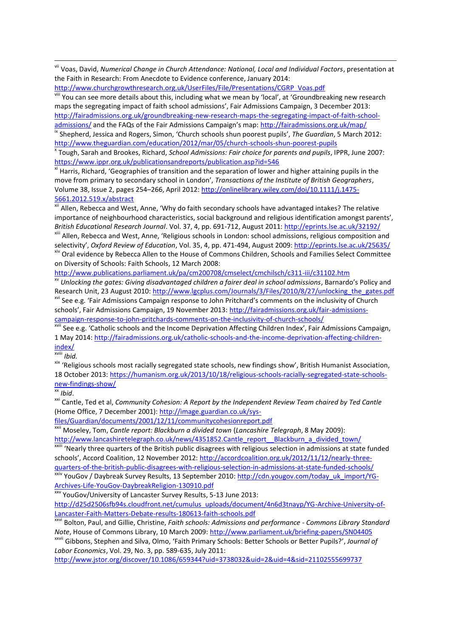vii Voas, David, *Numerical Change in Church Attendance: National, Local and Individual Factors*, presentation at the Faith in Research: From Anecdote to Evidence conference, January 2014:

[http://www.churchgrowthresearch.org.uk/UserFiles/File/Presentations/CGRP\\_Voas.pdf](http://www.churchgrowthresearch.org.uk/UserFiles/File/Presentations/CGRP_Voas.pdf)

viii You can see more details about this, including what we mean by 'local', at 'Groundbreaking new research maps the segregating impact of faith school admissions', Fair Admissions Campaign, 3 December 2013: [http://fairadmissions.org.uk/groundbreaking-new-research-maps-the-segregating-impact-of-faith-school](http://fairadmissions.org.uk/groundbreaking-new-research-maps-the-segregating-impact-of-faith-school-admissions/)[admissions/](http://fairadmissions.org.uk/groundbreaking-new-research-maps-the-segregating-impact-of-faith-school-admissions/) and the FAQs of the Fair Admissions Campaign's map: <http://fairadmissions.org.uk/map/> ix Shepherd, Jessica and Rogers, Simon, 'Church schools shun poorest pupils', *The Guardian*, 5 March 2012:

<http://www.theguardian.com/education/2012/mar/05/church-schools-shun-poorest-pupils>

x Tough, Sarah and Brookes, Richard, *School Admissions: Fair choice for parents and pupils*, IPPR, June 2007: <https://www.ippr.org.uk/publicationsandreports/publication.asp?id=546>

xi Harris, Richard, 'Geographies of transition and the separation of lower and higher attaining pupils in the move from primary to secondary school in London', *Transactions of the Institute of British Geographers*, Volume 38, Issue 2, pages 254–266, April 2012: [http://onlinelibrary.wiley.com/doi/10.1111/j.1475-](http://onlinelibrary.wiley.com/doi/10.1111/j.1475-5661.2012.519.x/abstract) [5661.2012.519.x/abstract](http://onlinelibrary.wiley.com/doi/10.1111/j.1475-5661.2012.519.x/abstract)

<sup>xii</sup> Allen, Rebecca and West, Anne, 'Why do faith secondary schools have advantaged intakes? The relative importance of neighbourhood characteristics, social background and religious identification amongst parents', *British Educational Research Journal*. Vol. 37, 4, pp. 691-712, August 2011[: http://eprints.lse.ac.uk/32192/](http://eprints.lse.ac.uk/32192/) xiii Allen, Rebecca and West, Anne, 'Religious schools in London: school admissions, religious composition and

selectivity', *Oxford Review of Education*, Vol. 35, 4, pp. 471-494, August 2009[: http://eprints.lse.ac.uk/25635/](http://eprints.lse.ac.uk/25635/) xiv Oral evidence by Rebecca Allen to the House of Commons Children, Schools and Families Select Committee

on Diversity of Schools: Faith Schools, 12 March 2008:

<http://www.publications.parliament.uk/pa/cm200708/cmselect/cmchilsch/c311-iii/c31102.htm>

xv *Unlocking the gates: Giving disadvantaged children a fairer deal in school admissions*, Barnardo's Policy and Research Unit, 23 August 2010[: http://www.lgcplus.com/Journals/3/Files/2010/8/27/unlocking\\_the\\_gates.pdf](http://www.lgcplus.com/Journals/3/Files/2010/8/27/unlocking_the_gates.pdf) <sup>xvi</sup> See e.g. 'Fair Admissions Campaign response to John Pritchard's comments on the inclusivity of Church schools', Fair Admissions Campaign, 19 November 2013: [http://fairadmissions.org.uk/fair-admissions-](http://fairadmissions.org.uk/fair-admissions-campaign-response-to-john-pritchards-comments-on-the-inclusivity-of-church-schools/)

[campaign-response-to-john-pritchards-comments-on-the-inclusivity-of-church-schools/](http://fairadmissions.org.uk/fair-admissions-campaign-response-to-john-pritchards-comments-on-the-inclusivity-of-church-schools/)

<sup>xvii</sup> See e.g. 'Catholic schools and the Income Deprivation Affecting Children Index', Fair Admissions Campaign, 1 May 2014[: http://fairadmissions.org.uk/catholic-schools-and-the-income-deprivation-affecting-children](http://fairadmissions.org.uk/catholic-schools-and-the-income-deprivation-affecting-children-index/)[index/](http://fairadmissions.org.uk/catholic-schools-and-the-income-deprivation-affecting-children-index/)

xviii *Ibid.*

1

xix 'Religious schools most racially segregated state schools, new findings show', British Humanist Association, 18 October 2013: [https://humanism.org.uk/2013/10/18/religious-schools-racially-segregated-state-schools](https://humanism.org.uk/2013/10/18/religious-schools-racially-segregated-state-schools-new-findings-show/)[new-findings-show/](https://humanism.org.uk/2013/10/18/religious-schools-racially-segregated-state-schools-new-findings-show/)

xx *Ibid*.

xxi Cantle, Ted et al, *Community Cohesion: A Report by the Independent Review Team chaired by Ted Cantle* (Home Office, 7 December 2001)[: http://image.guardian.co.uk/sys-](http://image.guardian.co.uk/sys-files/Guardian/documents/2001/12/11/communitycohesionreport.pdf)

[files/Guardian/documents/2001/12/11/communitycohesionreport.pdf](http://image.guardian.co.uk/sys-files/Guardian/documents/2001/12/11/communitycohesionreport.pdf)

xxii Moseley, Tom, *Cantle report: Blackburn a divided town* (*Lancashire Telegraph*, 8 May 2009): [http://www.lancashiretelegraph.co.uk/news/4351852.Cantle\\_report\\_\\_Blackburn\\_a\\_divided\\_town/](http://www.lancashiretelegraph.co.uk/news/4351852.Cantle_report__Blackburn_a_divided_town/)

<sup>xxiii</sup> 'Nearly three quarters of the British public disagrees with religious selection in admissions at state funded schools', Accord Coalition, 12 November 2012: [http://accordcoalition.org.uk/2012/11/12/nearly-three](http://accordcoalition.org.uk/2012/11/12/nearly-three-quarters-of-the-british-public-disagrees-with-religious-selection-in-admissions-at-state-funded-schools/)[quarters-of-the-british-public-disagrees-with-religious-selection-in-admissions-at-state-funded-schools/](http://accordcoalition.org.uk/2012/11/12/nearly-three-quarters-of-the-british-public-disagrees-with-religious-selection-in-admissions-at-state-funded-schools/)

xxiv YouGov / Davbreak Survey Results, 13 September 2010[: http://cdn.yougov.com/today\\_uk\\_import/YG-](http://cdn.yougov.com/today_uk_import/YG-Archives-Life-YouGov-DaybreakReligion-130910.pdf)[Archives-Life-YouGov-DaybreakReligion-130910.pdf](http://cdn.yougov.com/today_uk_import/YG-Archives-Life-YouGov-DaybreakReligion-130910.pdf)

xxv YouGov/University of Lancaster Survey Results, 5-13 June 2013: [http://d25d2506sfb94s.cloudfront.net/cumulus\\_uploads/document/4n6d3tnayp/YG-Archive-University-of-](http://d25d2506sfb94s.cloudfront.net/cumulus_uploads/document/4n6d3tnayp/YG-Archive-University-of-Lancaster-Faith-Matters-Debate-results-180613-faith-schools.pdf)[Lancaster-Faith-Matters-Debate-results-180613-faith-schools.pdf](http://d25d2506sfb94s.cloudfront.net/cumulus_uploads/document/4n6d3tnayp/YG-Archive-University-of-Lancaster-Faith-Matters-Debate-results-180613-faith-schools.pdf)

xxvi Bolton, Paul, and Gillie, Christine, *Faith schools: Admissions and performance - Commons Library Standard Note*, House of Commons Library, 10 March 2009:<http://www.parliament.uk/briefing-papers/SN04405>

xxvii Gibbons, Stephen and Silva, Olmo, 'Faith Primary Schools: Better Schools or Better Pupils?', *Journal of Labor Economics*, Vol. 29, No. 3, pp. 589-635, July 2011:

<http://www.jstor.org/discover/10.1086/659344?uid=3738032&uid=2&uid=4&sid=21102555699737>